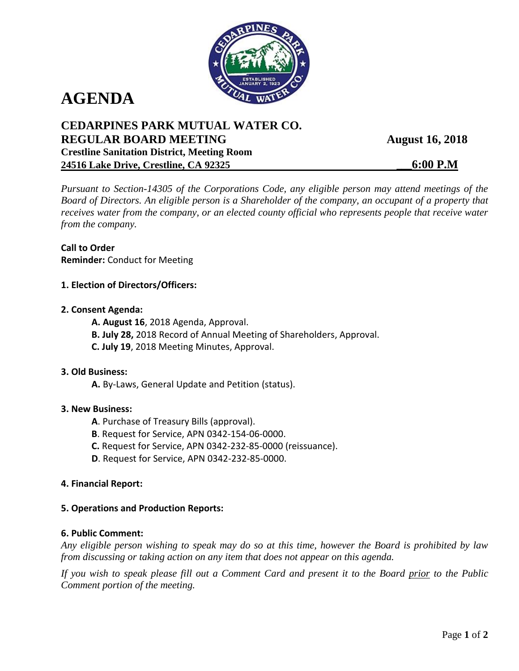

# **AGENDA**

# **CEDARPINES PARK MUTUAL WATER CO. REGULAR BOARD MEETING August 16, 2018 Crestline Sanitation District, Meeting Room 24516 Lake Drive, Crestline, CA 92325 \_\_\_6:00 P.M**

*Pursuant to Section-14305 of the Corporations Code, any eligible person may attend meetings of the Board of Directors. An eligible person is a Shareholder of the company, an occupant of a property that receives water from the company, or an elected county official who represents people that receive water from the company.*

**Call to Order Reminder:** Conduct for Meeting

- **1. Election of Directors/Officers:**
- **2. Consent Agenda:**
	- **A. August 16**, 2018 Agenda, Approval.
	- **B. July 28,** 2018 Record of Annual Meeting of Shareholders, Approval.
	- **C. July 19**, 2018 Meeting Minutes, Approval.

## **3. Old Business:**

**A.** By-Laws, General Update and Petition (status).

## **3. New Business:**

- **A**. Purchase of Treasury Bills (approval).
- **B**. Request for Service, APN 0342-154-06-0000.
- **C.** Request for Service, APN 0342-232-85-0000 (reissuance).
- **D**. Request for Service, APN 0342-232-85-0000.

## **4. Financial Report:**

## **5. Operations and Production Reports:**

## **6. Public Comment:**

*Any eligible person wishing to speak may do so at this time, however the Board is prohibited by law from discussing or taking action on any item that does not appear on this agenda.* 

*If you wish to speak please fill out a Comment Card and present it to the Board prior to the Public Comment portion of the meeting.*